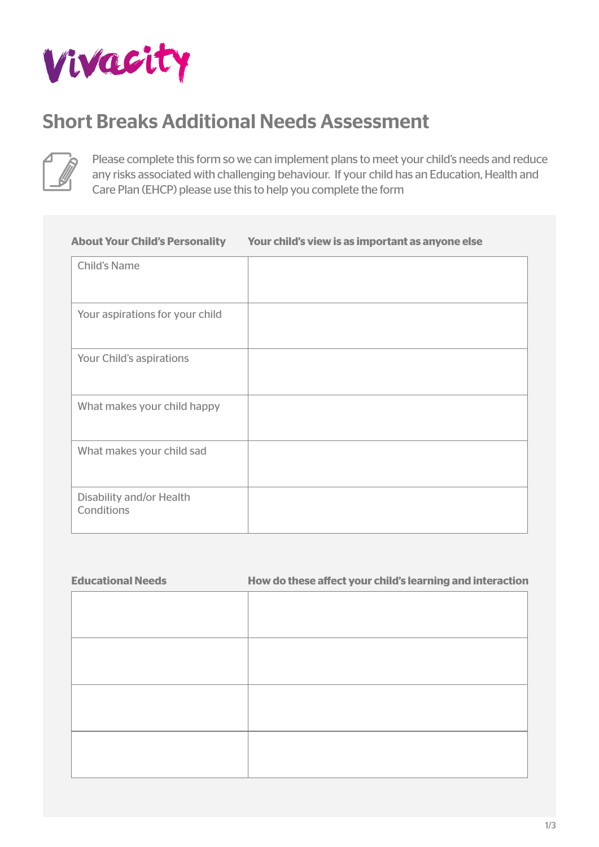

# Short Breaks Additional Needs Assessment



Please complete this form so we can implement plans to meet your child's needs and reduce any risks associated with challenging behaviour. If your child has an Education, Health and Care Plan (EHCP) please use this to help you complete the form

# **About Your Child's Personality** Your aspirations for your child What makes your child happy Child's Name Your Child's aspirations What makes your child sad Disability and/or Health Conditions **Your child's view is as important as anyone else**

| <b>Educational Needs</b> | How do these affect your child's learning and interaction |
|--------------------------|-----------------------------------------------------------|
|                          |                                                           |
|                          |                                                           |
|                          |                                                           |
|                          |                                                           |
|                          |                                                           |
|                          |                                                           |
|                          |                                                           |
|                          |                                                           |
|                          |                                                           |
|                          |                                                           |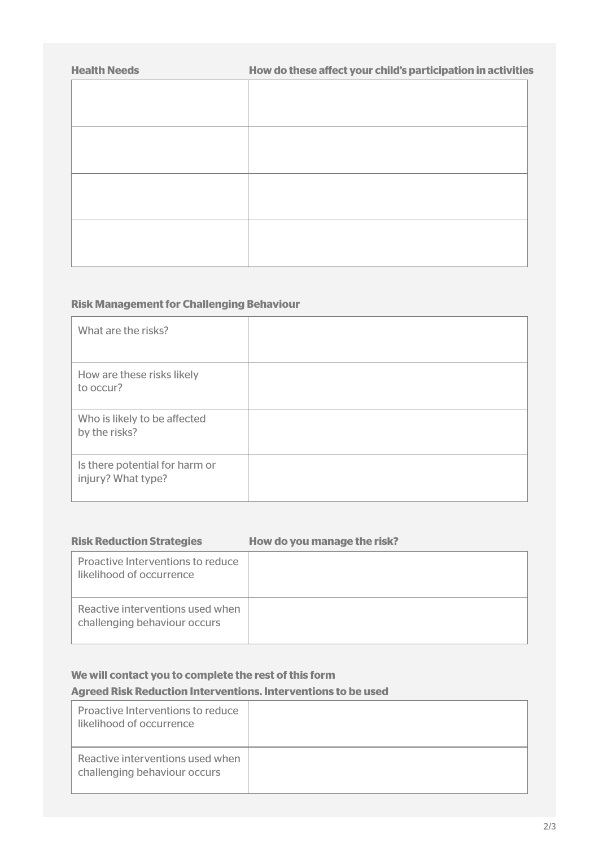| How do these affect your child's participation in activities |
|--------------------------------------------------------------|
|                                                              |
|                                                              |
|                                                              |
|                                                              |
|                                                              |
|                                                              |
|                                                              |
|                                                              |
|                                                              |
|                                                              |
|                                                              |

## **Risk Management for Challenging Behaviour**

| What are the risks?                                  |  |
|------------------------------------------------------|--|
| How are these risks likely<br>to occur?              |  |
| Who is likely to be affected<br>by the risks?        |  |
| Is there potential for harm or<br>injury? What type? |  |

| <b>Risk Reduction Strategies</b>                                 | How do you manage the risk? |
|------------------------------------------------------------------|-----------------------------|
| Proactive Interventions to reduce<br>likelihood of occurrence    |                             |
| Reactive interventions used when<br>challenging behaviour occurs |                             |

# **We will contact you to complete the rest of this form**

## **Agreed Risk Reduction Interventions. Interventions to be used**

| Proactive Interventions to reduce<br>likelihood of occurrence    |  |
|------------------------------------------------------------------|--|
| Reactive interventions used when<br>challenging behaviour occurs |  |